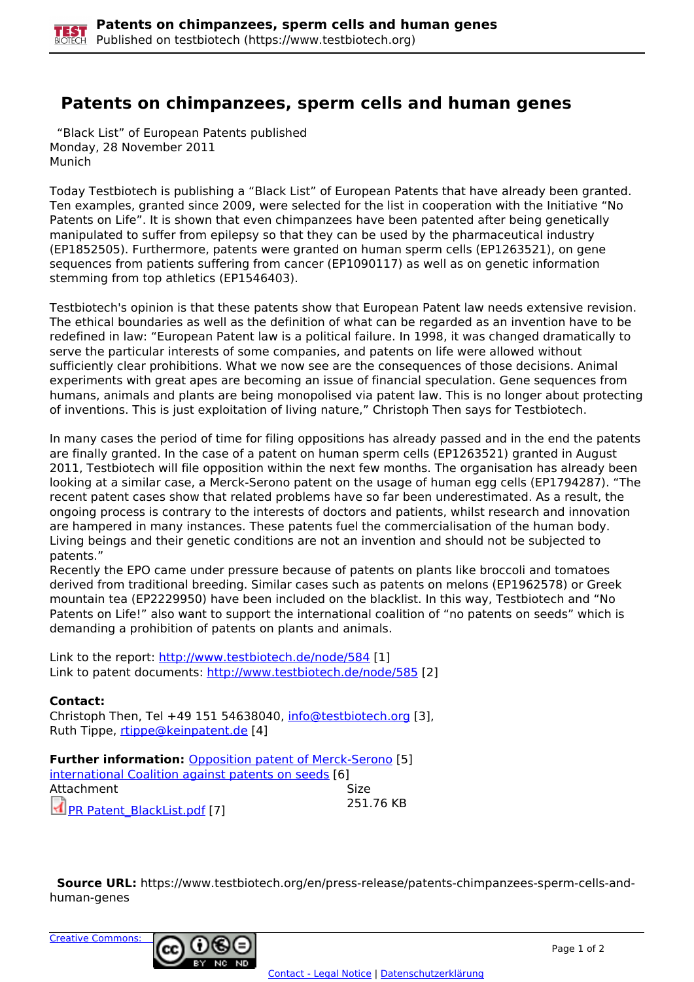

## **Patents on chimpanzees, sperm cells and human genes**

 "Black List" of European Patents published Monday, 28 November 2011 Munich

Today Testbiotech is publishing a "Black List" of European Patents that have already been granted. Ten examples, granted since 2009, were selected for the list in cooperation with the Initiative "No Patents on Life". It is shown that even chimpanzees have been patented after being genetically manipulated to suffer from epilepsy so that they can be used by the pharmaceutical industry (EP1852505). Furthermore, patents were granted on human sperm cells (EP1263521), on gene sequences from patients suffering from cancer (EP1090117) as well as on genetic information stemming from top athletics (EP1546403).

Testbiotech's opinion is that these patents show that European Patent law needs extensive revision. The ethical boundaries as well as the definition of what can be regarded as an invention have to be redefined in law: "European Patent law is a political failure. In 1998, it was changed dramatically to serve the particular interests of some companies, and patents on life were allowed without sufficiently clear prohibitions. What we now see are the consequences of those decisions. Animal experiments with great apes are becoming an issue of financial speculation. Gene sequences from humans, animals and plants are being monopolised via patent law. This is no longer about protecting of inventions. This is just exploitation of living nature," Christoph Then says for Testbiotech.

In many cases the period of time for filing oppositions has already passed and in the end the patents are finally granted. In the case of a patent on human sperm cells (EP1263521) granted in August 2011, Testbiotech will file opposition within the next few months. The organisation has already been looking at a similar case, a Merck-Serono patent on the usage of human egg cells (EP1794287). "The recent patent cases show that related problems have so far been underestimated. As a result, the ongoing process is contrary to the interests of doctors and patients, whilst research and innovation are hampered in many instances. These patents fuel the commercialisation of the human body. Living beings and their genetic conditions are not an invention and should not be subjected to patents."

Recently the EPO came under pressure because of patents on plants like broccoli and tomatoes derived from traditional breeding. Similar cases such as patents on melons (EP1962578) or Greek mountain tea (EP2229950) have been included on the blacklist. In this way, Testbiotech and "No Patents on Life!" also want to support the international coalition of "no patents on seeds" which is demanding a prohibition of patents on plants and animals.

Link to the report:<http://www.testbiotech.de/node/584> [1] Link to patent documents: http://www.testbiotech.de/node/585 [2]

## **Contact:**

Christoph Then, Tel +49 151 54638040, info@testbiotech.org [3], Ruth Tippe, rtippe@keinpatent.de [4]

**Further information: Opposition patent of Merck-Serono [5]** international Coalition against patents on seeds [6] Attachment Size PR Patent\_BlackList.pdf [7] 251.76 KB

 **Source URL:** https://www.testbiotech.org/en/press-release/patents-chimpanzees-sperm-cells-andhuman-genes

Creative Commons: